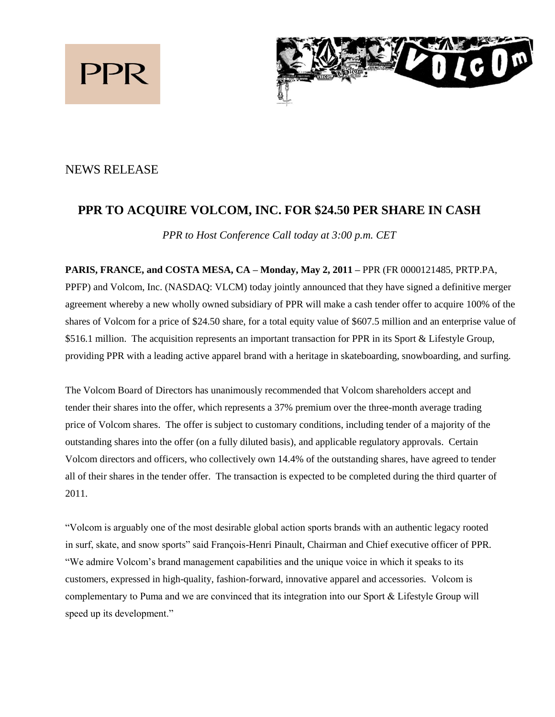



# NEWS RELEASE

# **PPR TO ACQUIRE VOLCOM, INC. FOR \$24.50 PER SHARE IN CASH**

*PPR to Host Conference Call today at 3:00 p.m. CET*

**PARIS, FRANCE, and COSTA MESA, CA – Monday, May 2, 2011 –** PPR (FR 0000121485, PRTP.PA, PPFP) and Volcom, Inc. (NASDAQ: VLCM) today jointly announced that they have signed a definitive merger agreement whereby a new wholly owned subsidiary of PPR will make a cash tender offer to acquire 100% of the shares of Volcom for a price of \$24.50 share, for a total equity value of \$607.5 million and an enterprise value of \$516.1 million. The acquisition represents an important transaction for PPR in its Sport & Lifestyle Group, providing PPR with a leading active apparel brand with a heritage in skateboarding, snowboarding, and surfing.

The Volcom Board of Directors has unanimously recommended that Volcom shareholders accept and tender their shares into the offer, which represents a 37% premium over the three-month average trading price of Volcom shares. The offer is subject to customary conditions, including tender of a majority of the outstanding shares into the offer (on a fully diluted basis), and applicable regulatory approvals. Certain Volcom directors and officers, who collectively own 14.4% of the outstanding shares, have agreed to tender all of their shares in the tender offer. The transaction is expected to be completed during the third quarter of 2011.

"Volcom is arguably one of the most desirable global action sports brands with an authentic legacy rooted in surf, skate, and snow sports" said François-Henri Pinault, Chairman and Chief executive officer of PPR. "We admire Volcom's brand management capabilities and the unique voice in which it speaks to its customers, expressed in high-quality, fashion-forward, innovative apparel and accessories. Volcom is complementary to Puma and we are convinced that its integration into our Sport & Lifestyle Group will speed up its development."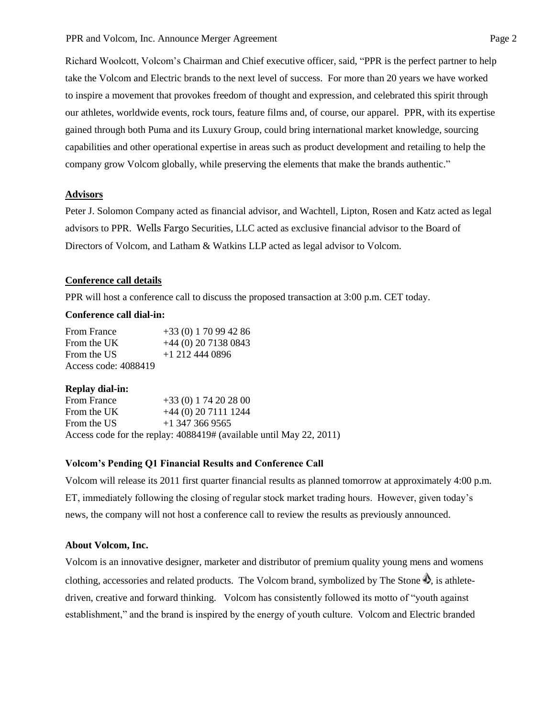Richard Woolcott, Volcom's Chairman and Chief executive officer, said, "PPR is the perfect partner to help take the Volcom and Electric brands to the next level of success. For more than 20 years we have worked to inspire a movement that provokes freedom of thought and expression, and celebrated this spirit through our athletes, worldwide events, rock tours, feature films and, of course, our apparel. PPR, with its expertise gained through both Puma and its Luxury Group, could bring international market knowledge, sourcing capabilities and other operational expertise in areas such as product development and retailing to help the company grow Volcom globally, while preserving the elements that make the brands authentic."

# **Advisors**

Peter J. Solomon Company acted as financial advisor, and Wachtell, Lipton, Rosen and Katz acted as legal advisors to PPR. Wells Fargo Securities, LLC acted as exclusive financial advisor to the Board of Directors of Volcom, and Latham & Watkins LLP acted as legal advisor to Volcom.

#### **Conference call details**

PPR will host a conference call to discuss the proposed transaction at 3:00 p.m. CET today.

## **Conference call dial-in:**

| <b>From France</b>   | $+33(0)$ 1 70 99 42 86 |
|----------------------|------------------------|
| From the UK          | $+44$ (0) 20 7138 0843 |
| From the US          | $+1$ 212 444 0896      |
| Access code: 4088419 |                        |

#### **Replay dial-in:**

| <b>From France</b> | $+33(0) 174202800$                                                  |
|--------------------|---------------------------------------------------------------------|
| From the UK        | $+44(0)$ 20 7111 1244                                               |
| From the US        | $+1$ 347 366 9565                                                   |
|                    | Access code for the replay: 4088419# (available until May 22, 2011) |

### **Volcom's Pending Q1 Financial Results and Conference Call**

Volcom will release its 2011 first quarter financial results as planned tomorrow at approximately 4:00 p.m. ET, immediately following the closing of regular stock market trading hours. However, given today's news, the company will not host a conference call to review the results as previously announced.

#### **About Volcom, Inc.**

Volcom is an innovative designer, marketer and distributor of premium quality young mens and womens clothing, accessories and related products. The Volcom brand, symbolized by The Stone  $\spadesuit$ , is athletedriven, creative and forward thinking. Volcom has consistently followed its motto of "youth against establishment," and the brand is inspired by the energy of youth culture. Volcom and Electric branded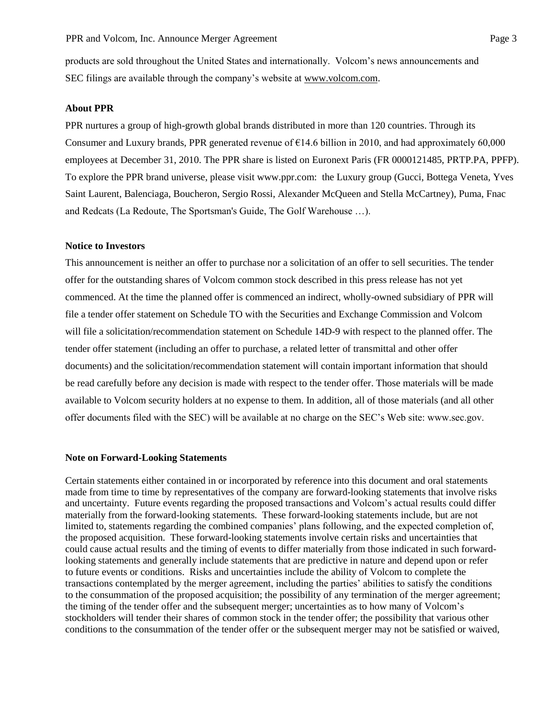products are sold throughout the United States and internationally. Volcom's news announcements and SEC filings are available through the company's website at [www.volcom.com.](http://www.volcom.com/)

### **About PPR**

PPR nurtures a group of high-growth global brands distributed in more than 120 countries. Through its Consumer and Luxury brands, PPR generated revenue of  $\epsilon$ 14.6 billion in 2010, and had approximately 60,000 employees at December 31, 2010. The PPR share is listed on Euronext Paris (FR 0000121485, PRTP.PA, PPFP). To explore the PPR brand universe, please visit www.ppr.com: the Luxury group (Gucci, Bottega Veneta, Yves Saint Laurent, Balenciaga, Boucheron, Sergio Rossi, Alexander McQueen and Stella McCartney), Puma, Fnac and Redcats (La Redoute, The Sportsman's Guide, The Golf Warehouse …).

#### **Notice to Investors**

This announcement is neither an offer to purchase nor a solicitation of an offer to sell securities. The tender offer for the outstanding shares of Volcom common stock described in this press release has not yet commenced. At the time the planned offer is commenced an indirect, wholly-owned subsidiary of PPR will file a tender offer statement on Schedule TO with the Securities and Exchange Commission and Volcom will file a solicitation/recommendation statement on Schedule 14D-9 with respect to the planned offer. The tender offer statement (including an offer to purchase, a related letter of transmittal and other offer documents) and the solicitation/recommendation statement will contain important information that should be read carefully before any decision is made with respect to the tender offer. Those materials will be made available to Volcom security holders at no expense to them. In addition, all of those materials (and all other offer documents filed with the SEC) will be available at no charge on the SEC's Web site: www.sec.gov.

#### **Note on Forward-Looking Statements**

Certain statements either contained in or incorporated by reference into this document and oral statements made from time to time by representatives of the company are forward-looking statements that involve risks and uncertainty. Future events regarding the proposed transactions and Volcom's actual results could differ materially from the forward-looking statements. These forward-looking statements include, but are not limited to, statements regarding the combined companies' plans following, and the expected completion of, the proposed acquisition. These forward-looking statements involve certain risks and uncertainties that could cause actual results and the timing of events to differ materially from those indicated in such forwardlooking statements and generally include statements that are predictive in nature and depend upon or refer to future events or conditions. Risks and uncertainties include the ability of Volcom to complete the transactions contemplated by the merger agreement, including the parties' abilities to satisfy the conditions to the consummation of the proposed acquisition; the possibility of any termination of the merger agreement; the timing of the tender offer and the subsequent merger; uncertainties as to how many of Volcom's stockholders will tender their shares of common stock in the tender offer; the possibility that various other conditions to the consummation of the tender offer or the subsequent merger may not be satisfied or waived,